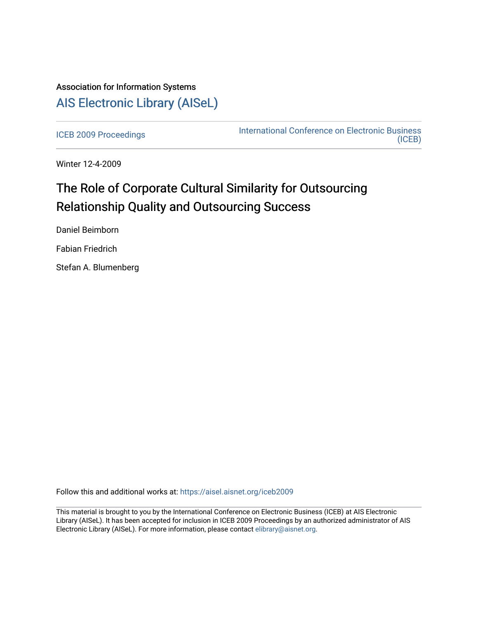## Association for Information Systems [AIS Electronic Library \(AISeL\)](https://aisel.aisnet.org/)

[ICEB 2009 Proceedings](https://aisel.aisnet.org/iceb2009) **International Conference on Electronic Business** [\(ICEB\)](https://aisel.aisnet.org/iceb) 

Winter 12-4-2009

# The Role of Corporate Cultural Similarity for Outsourcing Relationship Quality and Outsourcing Success

Daniel Beimborn

Fabian Friedrich

Stefan A. Blumenberg

Follow this and additional works at: [https://aisel.aisnet.org/iceb2009](https://aisel.aisnet.org/iceb2009?utm_source=aisel.aisnet.org%2Ficeb2009%2F84&utm_medium=PDF&utm_campaign=PDFCoverPages)

This material is brought to you by the International Conference on Electronic Business (ICEB) at AIS Electronic Library (AISeL). It has been accepted for inclusion in ICEB 2009 Proceedings by an authorized administrator of AIS Electronic Library (AISeL). For more information, please contact [elibrary@aisnet.org.](mailto:elibrary@aisnet.org%3E)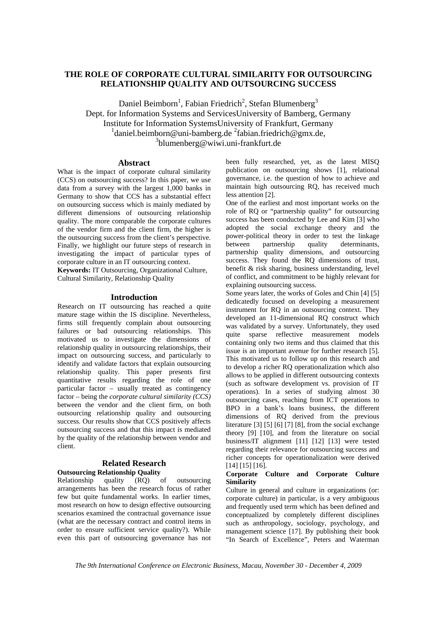## **THE ROLE OF CORPORATE CULTURAL SIMILARITY FOR OUTSOURCING RELATIONSHIP QUALITY AND OUTSOURCING SUCCESS**

Daniel Beimborn<sup>1</sup>, Fabian Friedrich<sup>2</sup>, Stefan Blumenberg<sup>3</sup> Dept. for Information Systems and ServicesUniversity of Bamberg, Germany Institute for Information SystemsUniversity of Frankfurt, Germany  $1$ daniel.beimborn@uni-bamberg.de  $2$ fabian.friedrich@gmx.de, 3 blumenberg@wiwi.uni-frankfurt.de

## **Abstract**

What is the impact of corporate cultural similarity (CCS) on outsourcing success? In this paper, we use data from a survey with the largest 1,000 banks in Germany to show that CCS has a substantial effect on outsourcing success which is mainly mediated by different dimensions of outsourcing relationship quality. The more comparable the corporate cultures of the vendor firm and the client firm, the higher is the outsourcing success from the client's perspective. Finally, we highlight our future steps of research in investigating the impact of particular types of corporate culture in an IT outsourcing context. **Keywords:** IT Outsourcing, Organizational Culture,

Cultural Similarity, Relationship Quality

## **Introduction**

Research on IT outsourcing has reached a quite mature stage within the IS discipline. Nevertheless, firms still frequently complain about outsourcing failures or bad outsourcing relationships. This motivated us to investigate the dimensions of relationship quality in outsourcing relationships, their impact on outsourcing success, and particularly to identify and validate factors that explain outsourcing relationship quality. This paper presents first quantitative results regarding the role of one particular factor – usually treated as contingency factor – being the *corporate cultural similarity (CCS)* between the vendor and the client firm, on both outsourcing relationship quality and outsourcing success. Our results show that CCS positively affects outsourcing success and that this impact is mediated by the quality of the relationship between vendor and client.

## **Related Research Outsourcing Relationship Quality**

Relationship quality (RQ) of outsourcing arrangements has been the research focus of rather few but quite fundamental works. In earlier times, most research on how to design effective outsourcing scenarios examined the contractual governance issue (what are the necessary contract and control items in order to ensure sufficient service quality?). While even this part of outsourcing governance has not been fully researched, yet, as the latest MISQ publication on outsourcing shows [1], relational governance, i.e. the question of how to achieve and maintain high outsourcing RQ, has received much less attention [2].

One of the earliest and most important works on the role of RQ or "partnership quality" for outsourcing success has been conducted by Lee and Kim [3] who adopted the social exchange theory and the power-political theory in order to test the linkage between partnership quality determinants, partnership quality dimensions, and outsourcing success. They found the RQ dimensions of trust, benefit & risk sharing, business understanding, level of conflict, and commitment to be highly relevant for explaining outsourcing success.

Some years later, the works of Goles and Chin [4] [5] dedicatedly focused on developing a measurement instrument for RQ in an outsourcing context. They developed an 11-dimensional RQ construct which was validated by a survey. Unfortunately, they used quite sparse reflective measurement models containing only two items and thus claimed that this issue is an important avenue for further research [5]. This motivated us to follow up on this research and to develop a richer RQ operationalization which also allows to be applied in different outsourcing contexts (such as software development vs. provision of IT operations). In a series of studying almost 30 outsourcing cases, reaching from ICT operations to BPO in a bank's loans business, the different dimensions of RQ derived from the previous literature [3] [5] [6] [7] [8], from the social exchange theory [9] [10], and from the literature on social business/IT alignment [11] [12] [13] were tested regarding their relevance for outsourcing success and richer concepts for operationalization were derived [14] [15] [16].

## **Corporate Culture and Corporate Culture Similarity**

Culture in general and culture in organizations (or: corporate culture) in particular, is a very ambiguous and frequently used term which has been defined and conceptualized by completely different disciplines such as anthropology, sociology, psychology, and management science [17]. By publishing their book "In Search of Excellence", Peters and Waterman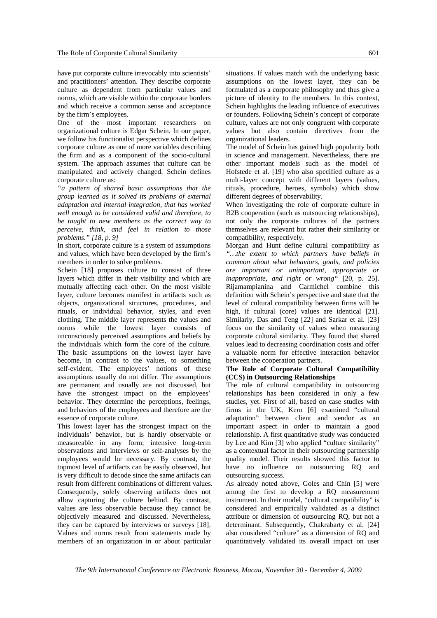have put corporate culture irrevocably into scientists' and practitioners' attention. They describe corporate culture as dependent from particular values and norms, which are visible within the corporate borders and which receive a common sense and acceptance by the firm's employees.

One of the most important researchers on organizational culture is Edgar Schein. In our paper, we follow his functionalist perspective which defines corporate culture as one of more variables describing the firm and as a component of the socio-cultural system. The approach assumes that culture can be manipulated and actively changed. Schein defines corporate culture as:

*"a pattern of shared basic assumptions that the group learned as it solved its problems of external adaptation and internal integration, that has worked well enough to be considered valid and therefore, to be taught to new members as the correct way to perceive, think, and feel in relation to those problems." [18, p. 9]* 

In short, corporate culture is a system of assumptions and values, which have been developed by the firm's members in order to solve problems.

Schein [18] proposes culture to consist of three layers which differ in their visibility and which are mutually affecting each other. On the most visible layer, culture becomes manifest in artifacts such as objects, organizational structures, procedures, and rituals, or individual behavior, styles, and even clothing. The middle layer represents the values and norms while the lowest layer consists of unconsciously perceived assumptions and beliefs by the individuals which form the core of the culture. The basic assumptions on the lowest layer have become, in contrast to the values, to something self-evident. The employees' notions of these assumptions usually do not differ. The assumptions are permanent and usually are not discussed, but have the strongest impact on the employees' behavior. They determine the perceptions, feelings, and behaviors of the employees and therefore are the essence of corporate culture.

This lowest layer has the strongest impact on the individuals' behavior, but is hardly observable or measureable in any form; intensive long-term observations and interviews or self-analyses by the employees would be necessary. By contrast, the topmost level of artifacts can be easily observed, but is very difficult to decode since the same artifacts can result from different combinations of different values. Consequently, solely observing artifacts does not allow capturing the culture behind. By contrast, values are less observable because they cannot be objectively measured and discussed. Nevertheless, they can be captured by interviews or surveys [18]. Values and norms result from statements made by members of an organization in or about particular

situations. If values match with the underlying basic assumptions on the lowest layer, they can be formulated as a corporate philosophy and thus give a picture of identity to the members. In this context, Schein highlights the leading influence of executives or founders. Following Schein's concept of corporate culture, values are not only congruent with corporate

organizational leaders. The model of Schein has gained high popularity both in science and management. Nevertheless, there are other important models such as the model of Hofstede et al. [19] who also specified culture as a multi-layer concept with different layers (values, rituals, procedure, heroes, symbols) which show different degrees of observability.

values but also contain directives from the

When investigating the role of corporate culture in B2B cooperation (such as outsourcing relationships), not only the corporate cultures of the partners themselves are relevant but rather their similarity or compatibility, respectively.

Morgan and Hunt define cultural compatibility as *"…the extent to which partners have beliefs in common about what behaviors, goals, and policies are important or unimportant, appropriate or inappropriate, and right or wrong"* [20, p. 25]. Rijamampianina and Carmichel combine this definition with Schein's perspective and state that the level of cultural compatibility between firms will be high, if cultural (core) values are identical [21]. Similarly, Das and Teng [22] and Sarkar et al. [23] focus on the similarity of values when measuring corporate cultural similarity. They found that shared values lead to decreasing coordination costs and offer a valuable norm for effective interaction behavior between the cooperation partners.

## **The Role of Corporate Cultural Compatibility (CCS) in Outsourcing Relationships**

The role of cultural compatibility in outsourcing relationships has been considered in only a few studies, yet. First of all, based on case studies with firms in the UK, Kern [6] examined "cultural adaptation" between client and vendor as an important aspect in order to maintain a good relationship. A first quantitative study was conducted by Lee and Kim [3] who applied "culture similarity" as a contextual factor in their outsourcing partnership quality model. Their results showed this factor to have no influence on outsourcing RQ and outsourcing success.

As already noted above, Goles and Chin [5] were among the first to develop a RQ measurement instrument. In their model, "cultural compatibility" is considered and empirically validated as a distinct attribute or dimension of outsourcing RQ, but not a determinant. Subsequently, Chakrabarty et al. [24] also considered "culture" as a dimension of RQ and quantitatively validated its overall impact on user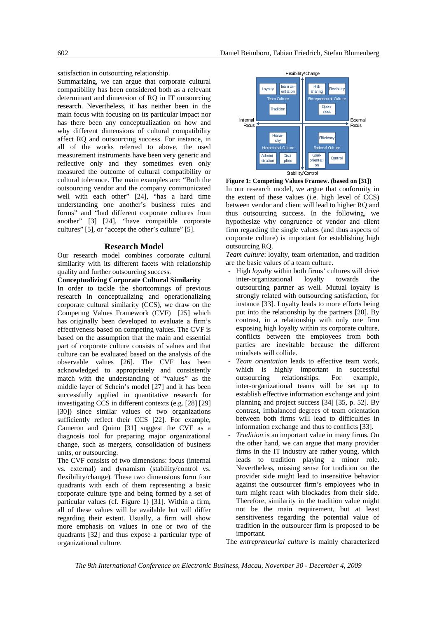satisfaction in outsourcing relationship.

Summarizing, we can argue that corporate cultural compatibility has been considered both as a relevant determinant and dimension of RQ in IT outsourcing research. Nevertheless, it has neither been in the main focus with focusing on its particular impact nor has there been any conceptualization on how and why different dimensions of cultural compatibility affect RQ and outsourcing success. For instance, in all of the works referred to above, the used measurement instruments have been very generic and reflective only and they sometimes even only measured the outcome of cultural compatibility or cultural tolerance. The main examples are: "Both the outsourcing vendor and the company communicated well with each other" [24], "has a hard time understanding one another's business rules and forms" and "had different corporate cultures from another" [3] [24], "have compatible corporate cultures" [5], or "accept the other's culture" [5].

## **Research Model**

Our research model combines corporate cultural similarity with its different facets with relationship quality and further outsourcing success.

**Conceptualizing Corporate Cultural Similarity**  In order to tackle the shortcomings of previous research in conceptualizing and operationalizing corporate cultural similarity (CCS), we draw on the Competing Values Framework (CVF) [25] which has originally been developed to evaluate a firm's effectiveness based on competing values. The CVF is based on the assumption that the main and essential part of corporate culture consists of values and that culture can be evaluated based on the analysis of the observable values [26]. The CVF has been acknowledged to appropriately and consistently match with the understanding of "values" as the middle layer of Schein's model [27] and it has been successfully applied in quantitative research for investigating CCS in different contexts (e.g. [28] [29] [30]) since similar values of two organizations sufficiently reflect their CCS [22]. For example, Cameron and Quinn [31] suggest the CVF as a diagnosis tool for preparing major organizational change, such as mergers, consolidation of business units, or outsourcing.

The CVF consists of two dimensions: focus (internal vs. external) and dynamism (stability/control vs. flexibility/change). These two dimensions form four quadrants with each of them representing a basic corporate culture type and being formed by a set of particular values (cf. Figure 1) [31]. Within a firm, all of these values will be available but will differ regarding their extent. Usually, a firm will show more emphasis on values in one or two of the quadrants [32] and thus expose a particular type of organizational culture.





*Team culture*: loyalty, team orientation, and tradition are the basic values of a team culture.

- High *loyalty* within both firms' cultures will drive inter-organizational loyalty towards the outsourcing partner as well. Mutual loyalty is strongly related with outsourcing satisfaction, for instance [33]. Loyalty leads to more efforts being put into the relationship by the partners [20]. By contrast, in a relationship with only one firm exposing high loyalty within its corporate culture, conflicts between the employees from both parties are inevitable because the different mindsets will collide.
- Team orientation leads to effective team work, which is highly important in successful outsourcing relationships. For example, inter-organizational teams will be set up to establish effective information exchange and joint planning and project success [34] [35, p. 52]. By contrast, imbalanced degrees of team orientation between both firms will lead to difficulties in information exchange and thus to conflicts [33].
- *Tradition* is an important value in many firms. On the other hand, we can argue that many provider firms in the IT industry are rather young, which leads to tradition playing a minor role. Nevertheless, missing sense for tradition on the provider side might lead to insensitive behavior against the outsourcer firm's employees who in turn might react with blockades from their side. Therefore, similarity in the tradition value might not be the main requirement, but at least sensitiveness regarding the potential value of tradition in the outsourcer firm is proposed to be important.

The *entrepreneurial culture* is mainly characterized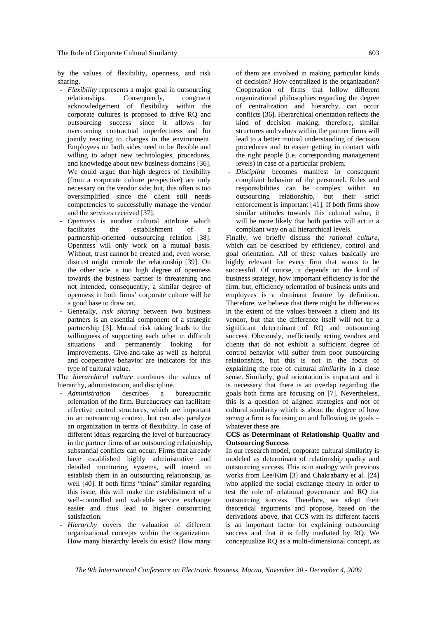by the values of flexibility, openness, and risk sharing.

- *Flexibility* represents a major goal in outsourcing relationships. Consequently, congruent acknowledgement of flexibility within the corporate cultures is proposed to drive RQ and outsourcing success since it allows for overcoming contractual imperfectness and for jointly reacting to changes in the environment. Employees on both sides need to be flexible and willing to adopt new technologies, procedures, and knowledge about new business domains [36]. We could argue that high degrees of flexibility (from a corporate culture perspective) are only necessary on the vendor side; but, this often is too oversimplified since the client still needs competencies to successfully manage the vendor and the services received [37].
- *Openness* is another cultural attribute which facilitates the establishment of a partnership-oriented outsourcing relation [38]. Openness will only work on a mutual basis. Without, trust cannot be created and, even worse, distrust might corrode the relationship [39]. On the other side, a too high degree of openness towards the business partner is threatening and not intended, consequently, a similar degree of openness in both firms' corporate culture will be a good base to draw on.
- Generally, *risk sharing* between two business partners is an essential component of a strategic partnership [3]. Mutual risk taking leads to the willingness of supporting each other in difficult situations and permanently looking for improvements. Give-and-take as well as helpful and cooperative behavior are indicators for this type of cultural value.

The *hierarchical culture* combines the values of hierarchy, administration, and discipline.

- *Administration* describes a bureaucratic orientation of the firm. Bureaucracy can facilitate effective control structures, which are important in an outsourcing context, but can also paralyze an organization in terms of flexibility. In case of different ideals regarding the level of bureaucracy in the partner firms of an outsourcing relationship, substantial conflicts can occur. Firms that already have established highly administrative and detailed monitoring systems, will intend to establish them in an outsourcing relationship, as well [40]. If both firms "think" similar regarding this issue, this will make the establishment of a well-controlled and valuable service exchange easier and thus lead to higher outsourcing satisfaction.
- Hierarchy covers the valuation of different organizational concepts within the organization. How many hierarchy levels do exist? How many

of them are involved in making particular kinds of decision? How centralized is the organization? Cooperation of firms that follow different organizational philosophies regarding the degree of centralization and hierarchy, can occur conflicts [36]. Hierarchical orientation reflects the kind of decision making, therefore, similar structures and values within the partner firms will lead to a better mutual understanding of decision procedures and to easier getting in contact with the right people (i.e. corresponding management levels) in case of a particular problem.

- *Discipline* becomes manifest in consequent compliant behavior of the personnel. Rules and responsibilities can be complex within an outsourcing relationship, but their strict enforcement is important [41]. If both firms show similar attitudes towards this cultural value, it will be more likely that both parties will act in a compliant way on all hierarchical levels.

Finally, we briefly discuss the *rational culture*, which can be described by efficiency, control and goal orientation. All of these values basically are highly relevant for every firm that wants to be successful. Of course, it depends on the kind of business strategy, how important efficiency is for the firm, but, efficiency orientation of business units and employees is a dominant feature by definition. Therefore, we believe that there might be differences in the extent of the values between a client and its vendor, but that the difference itself will not be a significant determinant of RQ and outsourcing success. Obviously, inefficiently acting vendors and clients that do not exhibit a sufficient degree of control behavior will suffer from poor outsourcing relationships, but this is not in the focus of explaining the role of cultural *similarity* in a close sense. Similarly, goal orientation is important and it is necessary that there is an overlap regarding the goals both firms are focusing on [7]. Nevertheless, this is a question of aligned strategies and not of cultural similarity which is about the degree of how *strong* a firm is focusing on and following its goals – whatever these are.

#### **CCS as Determinant of Relationship Quality and Outsourcing Success**

In our research model, corporate cultural similarity is modeled as determinant of relationship quality and outsourcing success. This is in analogy with previous works from Lee/Kim [3] and Chakrabarty et al. [24] who applied the social exchange theory in order to test the role of relational governance and RQ for outsourcing success. Therefore, we adopt their theoretical arguments and propose, based on the derivations above, that CCS with its different facets is an important factor for explaining outsourcing success and that it is fully mediated by RQ. We conceptualize RQ as a multi-dimensional concept, as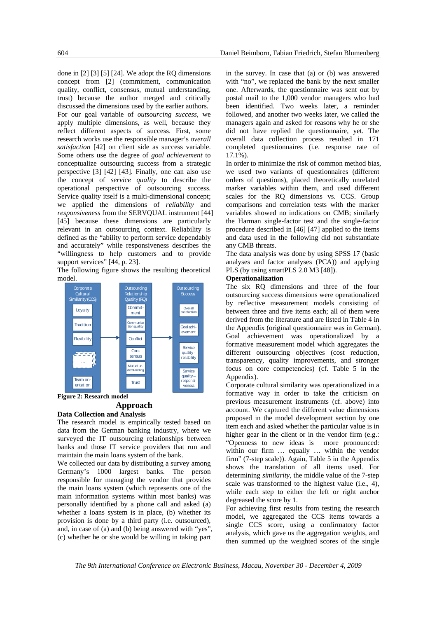done in [2] [3] [5] [24]. We adopt the RQ dimensions concept from [2] (commitment, communication quality, conflict, consensus, mutual understanding, trust) because the author merged and critically discussed the dimensions used by the earlier authors. For our goal variable of *outsourcing success*, we apply multiple dimensions, as well, because they reflect different aspects of success. First, some research works use the responsible manager's *overall satisfaction* [42] on client side as success variable. Some others use the degree of *goal achievement* to conceptualize outsourcing success from a strategic perspective [3] [42] [43]. Finally, one can also use the concept of *service quality* to describe the operational perspective of outsourcing success. Service quality itself is a multi-dimensional concept; we applied the dimensions of *reliability* and *responsiveness* from the SERVQUAL instrument [44] [45] because these dimensions are particularly relevant in an outsourcing context. Reliability is defined as the "ability to perform service dependably and accurately" while responsiveness describes the "willingness to help customers and to provide support services" [44, p. 23].

The following figure shows the resulting theoretical model.



**Figure 2: Research model** 

## **Approach**

#### **Data Collection and Analysis**

The research model is empirically tested based on data from the German banking industry, where we surveyed the IT outsourcing relationships between banks and those IT service providers that run and maintain the main loans system of the bank.

We collected our data by distributing a survey among Germany's 1000 largest banks. The person responsible for managing the vendor that provides the main loans system (which represents one of the main information systems within most banks) was personally identified by a phone call and asked (a) whether a loans system is in place, (b) whether its provision is done by a third party (i.e. outsourced), and, in case of (a) and (b) being answered with "yes", (c) whether he or she would be willing in taking part

in the survey. In case that (a) or (b) was answered with "no", we replaced the bank by the next smaller one. Afterwards, the questionnaire was sent out by postal mail to the 1,000 vendor managers who had been identified. Two weeks later, a reminder followed, and another two weeks later, we called the managers again and asked for reasons why he or she did not have replied the questionnaire, yet. The overall data collection process resulted in 171 completed questionnaires (i.e. response rate of 17.1%).

In order to minimize the risk of common method bias, we used two variants of questionnaires (different orders of questions), placed theoretically unrelated marker variables within them, and used different scales for the RQ dimensions vs. CCS. Group comparisons and correlation tests with the marker variables showed no indications on CMB; similarly the Harman single-factor test and the single-factor procedure described in [46] [47] applied to the items and data used in the following did not substantiate any CMB threats.

The data analysis was done by using SPSS 17 (basic analyses and factor analyses (PCA)) and applying PLS (by using smartPLS 2.0 M3 [48]).

## **Operationalization**

The six RQ dimensions and three of the four outsourcing success dimensions were operationalized by reflective measurement models consisting of between three and five items each; all of them were derived from the literature and are listed in Table 4 in the Appendix (original questionnaire was in German). Goal achievement was operationalized by a formative measurement model which aggregates the different outsourcing objectives (cost reduction, transparency, quality improvements, and stronger focus on core competencies) (cf. Table 5 in the Appendix).

Corporate cultural similarity was operationalized in a formative way in order to take the criticism on previous measurement instruments (cf. above) into account. We captured the different value dimensions proposed in the model development section by one item each and asked whether the particular value is in higher gear in the client or in the vendor firm (e.g.: "Openness to new ideas is more pronounced: within our firm … equally … within the vendor firm" (7-step scale)). Again, Table 5 in the Appendix shows the translation of all items used. For determining *similarity*, the middle value of the 7-step scale was transformed to the highest value (i.e., 4), while each step to either the left or right anchor degreased the score by 1.

For achieving first results from testing the research model, we aggregated the CCS items towards a single CCS score, using a confirmatory factor analysis, which gave us the aggregation weights, and then summed up the weighted scores of the single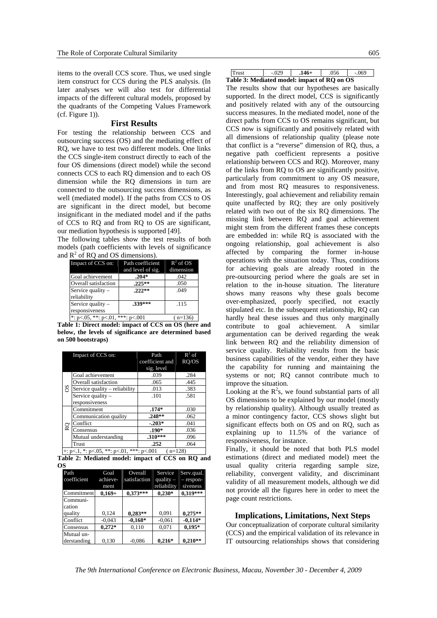items to the overall CCS score. Thus, we used single item construct for CCS during the PLS analysis. (In later analyses we will also test for differential impacts of the different cultural models, proposed by the quadrants of the Competing Values Framework  $(cf. Figure 1)$ ).

#### **First Results**

For testing the relationship between CCS and outsourcing success (OS) and the mediating effect of RQ, we have to test two different models. One links the CCS single-item construct directly to each of the four OS dimensions (direct model) while the second connects CCS to each RQ dimension and to each OS dimension while the RQ dimensions in turn are connected to the outsourcing success dimensions, as well (mediated model). If the paths from CCS to OS are significant in the direct model, but become insignificant in the mediated model and if the paths of CCS to RQ and from RQ to OS are significant, our mediation hypothesis is supported [49].

The following tables show the test results of both models (path coefficients with levels of significance and  $R^2$  of RQ and OS dimensions).

| Impact of CCS on:                           | Path coefficient  | $R^2$ of OS |
|---------------------------------------------|-------------------|-------------|
|                                             | and level of sig. | dimension   |
| Goal achievement                            | $.204*$           | .042        |
| Overall satisfaction                        | $.225***$         | .050        |
| Service quality -                           | $.222**$          | .049        |
| reliability                                 |                   |             |
| Service quality -                           | .339***           | .115        |
| responsiveness                              |                   |             |
| *: $p < 05$ , **: $p < 01$ , ***: $p < 001$ |                   | $(n=136)$   |

**Table 1: Direct model: impact of CCS on OS (here and below, the levels of significance are determined based on 500 bootstraps)** 

|    | Impact of CCS on:                                          | Path            | $R^2$ of |
|----|------------------------------------------------------------|-----------------|----------|
|    |                                                            | coefficient and | RO/OS    |
|    |                                                            | sig. level      |          |
|    | Goal achievement                                           | .039            | .284     |
|    | Overall satisfaction                                       | .065            | .445     |
| SO | Service quality – reliability                              | .013            | .383     |
|    | Service quality -                                          | .101            | .581     |
|    | responsiveness                                             |                 |          |
|    | Commitment                                                 | $.174*$         | .030     |
|    | Communication quality                                      | $.248**$        | .062     |
| RQ | Conflict                                                   | $-.203*$        | .041     |
|    | Consensus                                                  | $.190*$         | .036     |
|    | Mutual understanding                                       | $.310***$       | .096     |
|    | Trust                                                      | .252            | .064     |
|    | +: p < 1, *: p < 05, **: p < 01, ***: p < 001<br>$(n=128)$ |                 |          |

|    | Table 2: Mediated model: impact of CCS on RQ and |  |  |  |  |
|----|--------------------------------------------------|--|--|--|--|
| ΩS |                                                  |  |  |  |  |

| Path        | Goal             | Overall      | Service                    | Serv.qual.              |
|-------------|------------------|--------------|----------------------------|-------------------------|
| coefficient | achieve-<br>ment | satisfaction | quality $-$<br>reliability | $-$ respon-<br>siveness |
| Commitment  | $0.169 +$        | $0,373***$   | $0.230*$                   | $0,319***$              |
| Communi-    |                  |              |                            |                         |
| cation      |                  |              |                            |                         |
| quality     | 0.124            | $0,283**$    | 0.091                      | $0,275**$               |
| Conflict    | $-0.043$         | $-0.168*$    | $-0.061$                   | $-0.114*$               |
| Consensus   | $0.272*$         | 0,110        | 0,071                      | $0.195*$                |
| Mutual un-  |                  |              |                            |                         |
| derstanding | 0,130            | $-0,086$     | $0,216*$                   | $0,210**$               |

| Trust                                       | $-029$ | $.146+$ | .056 | - 069 |
|---------------------------------------------|--------|---------|------|-------|
| Table 3: Mediated model: impact of RQ on OS |        |         |      |       |

The results show that our hypotheses are basically supported. In the direct model, CCS is significantly and positively related with any of the outsourcing success measures. In the mediated model, none of the direct paths from CCS to OS remains significant, but CCS now is significantly and positively related with all dimensions of relationship quality (please note that conflict is a "reverse" dimension of RQ, thus, a negative path coefficient represents a positive relationship between CCS and RQ). Moreover, many of the links from RQ to OS are significantly positive, particularly from commitment to any OS measure, and from most RQ measures to responsiveness. Interestingly, goal achievement and reliability remain quite unaffected by RQ; they are only positively related with two out of the six RQ dimensions. The missing link between RQ and goal achievement might stem from the different frames these concepts are embedded in: while RQ is associated with the ongoing relationship, goal achievement is also affected by comparing the former in-house operations with the situation today. Thus, conditions for achieving goals are already rooted in the pre-outsourcing period where the goals are set in relation to the in-house situation. The literature shows many reasons why these goals become over-emphasized, poorly specified, not exactly stipulated etc. In the subsequent relationship, RQ can hardly heal these issues and thus only marginally contribute to goal achievement. A similar argumentation can be derived regarding the weak link between RQ and the reliability dimension of service quality. Reliability results from the basic business capabilities of the vendor, either they have the capability for running and maintaining the systems or not; RQ cannot contribute much to improve the situation.

Looking at the  $R^2$ s, we found substantial parts of all OS dimensions to be explained by our model (mostly by relationship quality). Although usually treated as a minor contingency factor, CCS shows slight but significant effects both on OS and on RQ, such as explaining up to 11.5% of the variance of responsiveness, for instance.

Finally, it should be noted that both PLS model estimations (direct and mediated model) meet the usual quality criteria regarding sample size, reliability, convergent validity, and discriminant validity of all measurement models, although we did not provide all the figures here in order to meet the page count restrictions.

## **Implications, Limitations, Next Steps**

Our conceptualization of corporate cultural similarity (CCS) and the empirical validation of its relevance in IT outsourcing relationships shows that considering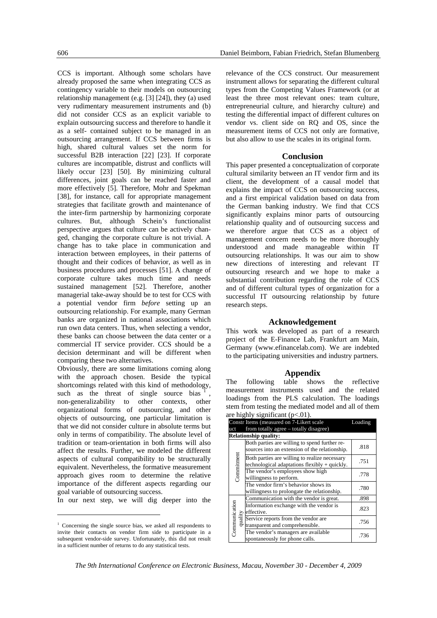CCS is important. Although some scholars have already proposed the same when integrating CCS as contingency variable to their models on outsourcing relationship management (e.g. [3] [24]), they (a) used very rudimentary measurement instruments and (b) did not consider CCS as an explicit variable to explain outsourcing success and therefore to handle it as a self- contained subject to be managed in an outsourcing arrangement. If CCS between firms is high, shared cultural values set the norm for successful B2B interaction [22] [23]. If corporate cultures are incompatible, distrust and conflicts will likely occur [23] [50]. By minimizing cultural differences, joint goals can be reached faster and more effectively [5]. Therefore, Mohr and Spekman [38], for instance, call for appropriate management strategies that facilitate growth and maintenance of the inter-firm partnership by harmonizing corporate cultures. But, although Schein's functionalist perspective argues that culture can be actively changed, changing the corporate culture is not trivial. A change has to take place in communication and interaction between employees, in their patterns of thought and their codices of behavior, as well as in business procedures and processes [51]. A change of corporate culture takes much time and needs sustained management [52]. Therefore, another managerial take-away should be to test for CCS with a potential vendor firm *before* setting up an outsourcing relationship. For example, many German banks are organized in national associations which run own data centers. Thus, when selecting a vendor, these banks can choose between the data center or a commercial IT service provider. CCS should be a decision determinant and will be different when comparing these two alternatives.

Obviously, there are some limitations coming along with the approach chosen. Beside the typical shortcomings related with this kind of methodology, such as the threat of single source bias non-generalizability to other contexts, other organizational forms of outsourcing, and other objects of outsourcing, one particular limitation is that we did not consider culture in absolute terms but only in terms of compatibility. The absolute level of tradition or team-orientation in both firms will also affect the results. Further, we modeled the different aspects of cultural compatibility to be structurally equivalent. Nevertheless, the formative measurement approach gives room to determine the relative importance of the different aspects regarding our goal variable of outsourcing success.

In our next step, we will dig deeper into the

1

relevance of the CCS construct. Our measurement instrument allows for separating the different cultural types from the Competing Values Framework (or at least the three most relevant ones: team culture, entrepreneurial culture, and hierarchy culture) and testing the differential impact of different cultures on vendor vs. client side on RQ and OS, since the measurement items of CCS not only are formative, but also allow to use the scales in its original form.

#### **Conclusion**

This paper presented a conceptualization of corporate cultural similarity between an IT vendor firm and its client, the development of a causal model that explains the impact of CCS on outsourcing success, and a first empirical validation based on data from the German banking industry. We find that CCS significantly explains minor parts of outsourcing relationship quality and of outsourcing success and we therefore argue that CCS as a object of management concern needs to be more thoroughly understood and made manageable within IT outsourcing relationships. It was our aim to show new directions of interesting and relevant IT outsourcing research and we hope to make a substantial contribution regarding the role of CCS and of different cultural types of organization for a successful IT outsourcing relationship by future research steps.

#### **Acknowledgement**

This work was developed as part of a research project of the E-Finance Lab, Frankfurt am Main, Germany (www.efinancelab.com). We are indebted to the participating universities and industry partners.

## **Appendix** table show

The following table shows the reflective measurement instruments used and the related loadings from the PLS calculation. The loadings stem from testing the mediated model and all of them are highly significant  $(p<.01)$ .

|                          | Constr Items (measured on 7-Likert scale<br>Loading                                             |      |  |
|--------------------------|-------------------------------------------------------------------------------------------------|------|--|
| uct                      | from totally agree – totally disagree)                                                          |      |  |
|                          | <b>Relationship quality:</b>                                                                    |      |  |
|                          | Both parties are willing to spend further re-<br>sources into an extension of the relationship. | .818 |  |
| Commitment               | Both parties are willing to realize necessary<br>technological adaptations flexibly + quickly.  | .751 |  |
|                          | The vendor's employees show high<br>willingness to perform.                                     | .778 |  |
|                          | The vendor firm's behavior shows its<br>willingness to prolongate the relationship.             | .780 |  |
| Communication<br>quality | Communication with the vendor is great.                                                         | .898 |  |
|                          | Information exchange with the vendor is<br>effective.                                           | .823 |  |
|                          | Service reports from the vendor are.<br>transparent and comprehensible.                         | .756 |  |
|                          | The vendor's managers are available<br>spontaneously for phone calls.                           | .736 |  |

<sup>&</sup>lt;sup>1</sup> Concerning the single source bias, we asked all respondents to invite their contacts on vendor firm side to participate in a subsequent vendor-side survey. Unfortunately, this did not result in a sufficient number of returns to do any statistical tests.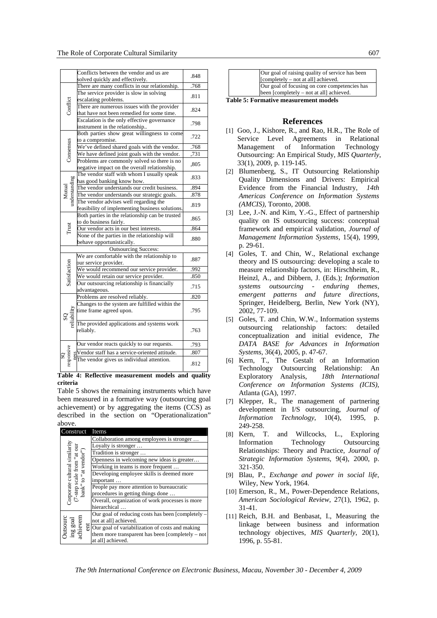|                                  | Conflicts between the vendor and us are<br>solved quickly and effectively.                 | .848 |  |
|----------------------------------|--------------------------------------------------------------------------------------------|------|--|
|                                  | There are many conflicts in our relationship.                                              | .768 |  |
|                                  | The service provider is slow in solving                                                    |      |  |
|                                  | escalating problems.                                                                       | .811 |  |
| Conflict                         | There are numerous issues with the provider                                                | .824 |  |
|                                  | that have not been remedied for some time.                                                 |      |  |
|                                  | Escalation is the only effective governance                                                | .798 |  |
|                                  | instrument in the relationship                                                             |      |  |
|                                  | Both parties show great willingness to come                                                | .722 |  |
|                                  | to a compromise.                                                                           |      |  |
| Consensus                        | We've defined shared goals with the vendor.                                                | .768 |  |
|                                  | We have defined joint goals with the vendor.                                               | ,731 |  |
|                                  | Problems are commonly solved so there is no                                                | ,805 |  |
|                                  | negative impact on the overall relationship.<br>The vendor staff with whom I usually speak |      |  |
|                                  | has good banking know how.                                                                 | .833 |  |
| understanding                    | The vendor understands our credit business.                                                | .894 |  |
| Mutual                           | The vendor understands our strategic goals.                                                | .878 |  |
|                                  | The vendor advises well regarding the                                                      |      |  |
|                                  | feasibility of implementing business solutions.                                            | .819 |  |
|                                  | Both parties in the relationship can be trusted                                            |      |  |
|                                  | to do business fairly.                                                                     | .865 |  |
| Trust                            | Our vendor acts in our best interests.                                                     | .864 |  |
|                                  | None of the parties in the relationship will                                               | .880 |  |
| behave opportunistically.        |                                                                                            |      |  |
|                                  | <b>Outsourcing Success:</b>                                                                |      |  |
|                                  | We are comfortable with the relationship to                                                | .887 |  |
|                                  | our service provider.                                                                      |      |  |
|                                  | We would recommend our service provider.                                                   | .992 |  |
| Satisfaction                     | We would retain our service provider.                                                      | .850 |  |
|                                  | Our outsourcing relationship is financially                                                | .715 |  |
|                                  | advantageous.<br>Problems are resolved reliably.                                           | .820 |  |
|                                  | Changes to the system are fulfilled within the                                             |      |  |
|                                  | time frame agreed upon.                                                                    | .795 |  |
|                                  |                                                                                            |      |  |
| SQ<br>reliability                | The provided applications and systems work                                                 |      |  |
|                                  | reliably.                                                                                  | .763 |  |
|                                  |                                                                                            |      |  |
|                                  | Our vendor reacts quickly to our requests.                                                 | .793 |  |
| ness<br>$\overline{\mathcal{S}}$ | Vendor staff has a service-oriented attitude.<br>The vendor gives us individual attention. | .807 |  |
| esponsive                        |                                                                                            | .812 |  |
|                                  |                                                                                            |      |  |

**Table 4: Reflective measurement models and quality criteria**

Table 5 shows the remaining instruments which have been measured in a formative way (outsourcing goal achievement) or by aggregating the items (CCS) as described in the section on "Operationalization" above.

| Construct Items                                                                     |                                                               |
|-------------------------------------------------------------------------------------|---------------------------------------------------------------|
| Corporate cultural similarity<br>'-step scale from "at our<br>bank" to "at vendor") | Collaboration among employees is stronger                     |
|                                                                                     | Loyalty is stronger                                           |
|                                                                                     | Tradition is stronger                                         |
|                                                                                     | Openness in welcoming new ideas is greater                    |
|                                                                                     | Working in teams is more frequent                             |
|                                                                                     | Developing employee skills is deemed more                     |
|                                                                                     | important                                                     |
|                                                                                     | People pay more attention to bureaucratic                     |
|                                                                                     | procedures in getting things done                             |
|                                                                                     | Overall, organization of work processes is more               |
|                                                                                     | hierarchical                                                  |
|                                                                                     | Our goal of reducing costs has been [completely –             |
| <b>Jutsourc</b><br>$\mathop{\mathrm{ing}}\nolimits\mathop{\mathrm{goal}}\nolimits$  | not at all] achieved.                                         |
|                                                                                     | $\frac{1}{6}$ Our goal of variabilization of costs and making |
|                                                                                     | them more transparent has been $[{\rm completely - not}$      |
|                                                                                     | at all] achieved.                                             |

| Our goal of raising quality of service has been |
|-------------------------------------------------|
| [completely – not at all] achieved.             |
| Our goal of focusing on core competencies has   |
| been [completely – not at all] achieved.        |
| <b>Table 5: Formative measurement models</b>    |

#### **References**

- [1] Goo, J., Kishore, R., and Rao, H.R., The Role of Service Level Agreements in Relational Management of Information Technology Outsourcing: An Empirical Study, *MIS Quarterly*, 33(1), 2009, p. 119-145.
- [2] Blumenberg, S., IT Outsourcing Relationship Quality Dimensions and Drivers: Empirical Evidence from the Financial Industry, *14th Americas Conference on Information Systems (AMCIS)*, Toronto, 2008.
- [3] Lee, J.-N. and Kim, Y.-G., Effect of partnership quality on IS outsourcing success: conceptual framework and empirical validation, *Journal of Management Information Systems*, 15(4), 1999, p. 29-61.
- [4] Goles, T. and Chin, W., Relational exchange theory and IS outsourcing: developing a scale to measure relationship factors, in: Hirschheim, R., Heinzl, A., and Dibbern, J. (Eds.); *Information systems outsourcing - enduring themes, emergent patterns and future directions*, Springer, Heidelberg, Berlin, New York (NY), 2002, 77-109.
- [5] Goles, T. and Chin, W.W., Information systems outsourcing relationship factors: detailed conceptualization and initial evidence, *The DATA BASE for Advances in Information Systems*, 36(4), 2005, p. 47-67.
- [6] Kern, T., The Gestalt of an Information Technology Outsourcing Relationship: An Exploratory Analysis, *18th International Conference on Information Systems (ICIS)*, Atlanta (GA), 1997.
- [7] Klepper, R., The management of partnering development in I/S outsourcing, *Journal of Information Technology*, 10(4), 1995, p. 249-258.
- [8] Kern, T. and Willcocks, L., Exploring Information Technology Outsourcing Relationships: Theory and Practice, *Journal of Strategic Information Systems*, 9(4), 2000, p. 321-350.
- [9] Blau, P., *Exchange and power in social life*, Wiley, New York, 1964.
- [10] Emerson, R., M., Power-Dependence Relations, *American Sociological Review*, 27(1), 1962, p. 31-41.
- [11] Reich, B.H. and Benbasat, I., Measuring the linkage between business and information technology objectives, *MIS Quarterly*, 20(1), 1996, p. 55-81.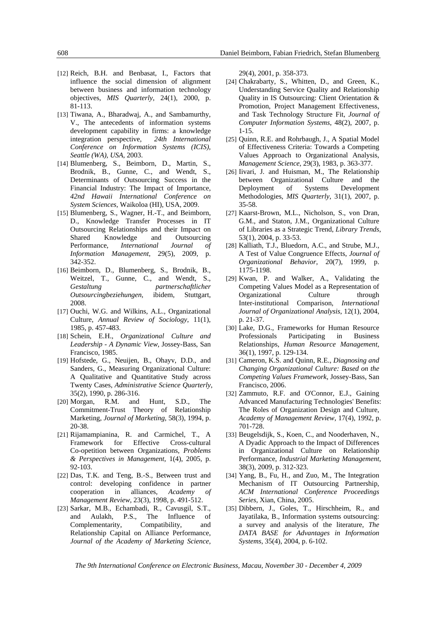- [12] Reich, B.H. and Benbasat, I., Factors that influence the social dimension of alignment between business and information technology objectives, *MIS Quarterly*, 24(1), 2000, p. 81-113.
- [13] Tiwana, A., Bharadwaj, A., and Sambamurthy, V., The antecedents of information systems development capability in firms: a knowledge integration perspective, *24th International Conference on Information Systems (ICIS), Seattle (WA), USA*, 2003.
- [14] Blumenberg, S., Beimborn, D., Martin, S., Brodnik, B., Gunne, C., and Wendt, S., Determinants of Outsourcing Success in the Financial Industry: The Impact of Importance, *42nd Hawaii International Conference on System Sciences*, Waikoloa (HI), USA, 2009.
- [15] Blumenberg, S., Wagner, H.-T., and Beimborn, D., Knowledge Transfer Processes in IT Outsourcing Relationships and their Impact on Shared Knowledge and Outsourcing Performance, *International Journal of Information Management*, 29(5), 2009, p. 342-352.
- [16] Beimborn, D., Blumenberg, S., Brodnik, B., Weitzel, T., Gunne, C., and Wendt, S., *Gestaltung partnerschaftlicher Outsourcingbeziehungen*, ibidem, Stuttgart, 2008.
- [17] Ouchi, W.G. and Wilkins, A.L., Organizational Culture, *Annual Review of Sociology*, 11(1), 1985, p. 457-483.
- [18] Schein, E.H., *Organizational Culture and Leadership - A Dynamic View*, Jossey-Bass, San Francisco, 1985.
- [19] Hofstede, G., Neuijen, B., Ohayv, D.D., and Sanders, G., Measuring Organizational Culture: A Qualitative and Quantitative Study across Twenty Cases, *Administrative Science Quarterly*, 35(2), 1990, p. 286-316.
- [20] Morgan, R.M. and Hunt, S.D., The Commitment-Trust Theory of Relationship Marketing, *Journal of Marketing*, 58(3), 1994, p. 20-38.
- [21] Rijamampianina, R. and Carmichel, T., A Framework for Effective Cross-cultural Co-opetition between Organizations, *Problems & Perspectives in Management*, 1(4), 2005, p. 92-103.
- [22] Das, T.K. and Teng, B.-S., Between trust and control: developing confidence in partner cooperation in alliances, *Academy of Management Review*, 23(3), 1998, p. 491-512.
- [23] Sarkar, M.B., Echambadi, R., Cavusgil, S.T., and Aulakh, P.S., The Influence of Complementarity, Compatibility, and Relationship Capital on Alliance Performance, *Journal of the Academy of Marketing Science*,

29(4), 2001, p. 358-373.

- [24] Chakrabarty, S., Whitten, D., and Green, K., Understanding Service Quality and Relationship Quality in IS Outsourcing: Client Orientation & Promotion, Project Management Effectiveness, and Task Technology Structure Fit, *Journal of Computer Information Systems*, 48(2), 2007, p. 1-15.
- [25] Quinn, R.E. and Rohrbaugh, J., A Spatial Model of Effectiveness Criteria: Towards a Competing Values Approach to Organizational Analysis, *Management Science*, 29(3), 1983, p. 363-377.
- [26] Iivari, J. and Huisman, M., The Relationship between Organizational Culture and the Deployment of Systems Development Methodologies, *MIS Quarterly*, 31(1), 2007, p. 35-58.
- [27] Kaarst-Brown, M.L., Nicholson, S., von Dran, G.M., and Staton, J.M., Organizational Culture of Libraries as a Strategic Trend, *Library Trends*, 53(1), 2004, p. 33-53.
- [28] Kalliath, T.J., Bluedorn, A.C., and Strube, M.J., A Test of Value Congruence Effects, *Journal of Organizational Behavior*, 20(7), 1999, p. 1175-1198.
- [29] Kwan, P. and Walker, A., Validating the Competing Values Model as a Representation of Organizational Culture through Inter-institutional Comparison, *International Journal of Organizational Analysis*, 12(1), 2004, p. 21-37.
- [30] Lake, D.G., Frameworks for Human Resource Professionals Participating in Business Relationships, *Human Resource Management*, 36(1), 1997, p. 129-134.
- [31] Cameron, K.S. and Quinn, R.E., *Diagnosing and Changing Organizational Culture: Based on the Competing Values Framework*, Jossey-Bass, San Francisco, 2006.
- [32] Zammuto, R.F. and O'Connor, E.J., Gaining Advanced Manufacturing Technologies' Benefits: The Roles of Organization Design and Culture, *Academy of Management Review*, 17(4), 1992, p. 701-728.
- [33] Beugelsdijk, S., Koen, C., and Nooderhaven, N., A Dyadic Approach to the Impact of Differences in Organizational Culture on Relationship Performance, *Industrial Marketing Management*, 38(3), 2009, p. 312-323.
- [34] Yang, B., Fu, H., and Zuo, M., The Integration Mechanism of IT Outsourcing Partnership, *ACM International Conference Proceedings Series*, Xian, China, 2005.
- [35] Dibbern, J., Goles, T., Hirschheim, R., and Jayatilaka, B., Information systems outsourcing: a survey and analysis of the literature, *The DATA BASE for Advantages in Information Systems*, 35(4), 2004, p. 6-102.